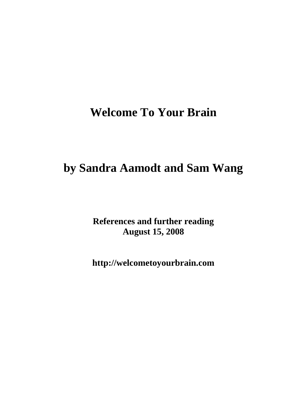# **Welcome To Your Brain**

# **by Sandra Aamodt and Sam Wang**

**References and further reading August 15, 2008** 

**http://welcometoyourbrain.com**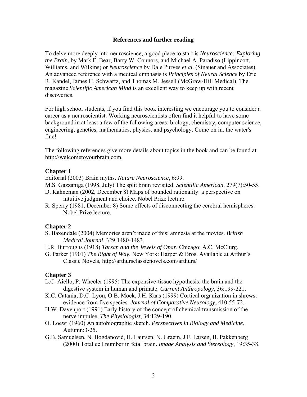## **References and further reading**

To delve more deeply into neuroscience, a good place to start is *Neuroscience: Exploring the Brain*, by Mark F. Bear, Barry W. Connors, and Michael A. Paradiso (Lippincott, Williams, and Wilkins) or *Neuroscience* by Dale Purves *et al.* (Sinauer and Associates). An advanced reference with a medical emphasis is *Principles of Neural Science* by Eric R. Kandel, James H. Schwartz, and Thomas M. Jessell (McGraw-Hill Medical). The magazine *Scientific American Mind* is an excellent way to keep up with recent discoveries.

For high school students, if you find this book interesting we encourage you to consider a career as a neuroscientist. Working neuroscientists often find it helpful to have some background in at least a few of the following areas: biology, chemistry, computer science, engineering, genetics, mathematics, physics, and psychology. Come on in, the water's fine!

The following references give more details about topics in the book and can be found at http://welcometoyourbrain.com.

## **Chapter 1**

Editorial (2003) Brain myths. *Nature Neuroscience*, 6:99.

- M.S. Gazzaniga (1998, July) The split brain revisited. *Scientific American*, 279(7):50-55.
- D. Kahneman (2002, December 8) Maps of bounded rationality: a perspective on intuitive judgment and choice. Nobel Prize lecture.
- R. Sperry (1981, December 8) Some effects of disconnecting the cerebral hemispheres. Nobel Prize lecture.

#### **Chapter 2**

- S. Baxendale (2004) Memories aren't made of this: amnesia at the movies. *British Medical Journal*, 329:1480-1483.
- E.R. Burroughs (1918) *Tarzan and the Jewels of Opar*. Chicago: A.C. McClurg.
- G. Parker (1901) *The Right of Way*. New York: Harper & Bros. Available at Arthur's Classic Novels, http://arthursclassicnovels.com/arthurs/

- L.C. Aiello, P. Wheeler (1995) The expensive-tissue hypothesis: the brain and the digestive system in human and primate. *Current Anthropology*, 36:199-221.
- K.C. Catania, D.C. Lyon, O.B. Mock, J.H. Kaas (1999) Cortical organization in shrews: evidence from five species. *Journal of Comparative Neurology*, 410:55-72.
- H.W. Davenport (1991) Early history of the concept of chemical transmission of the nerve impulse. *The Physiologist*, 34:129-190.
- O. Loewi (1960) An autobiographic sketch. *Perspectives in Biology and Medicine*, Autumn:3-25.
- G.B. Samuelsen, N. Bogdanović, H. Laursen, N. Graem, J.F. Larsen, B. Pakkenberg (2000) Total cell number in fetal brain. *Image Analysis and Stereology*, 19:35-38.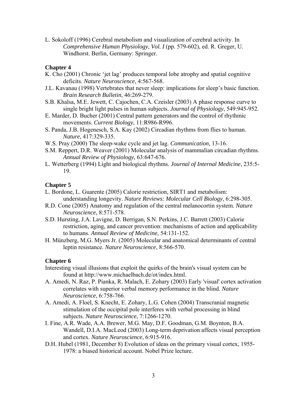L. Sokoloff (1996) Cerebral metabolism and visualization of cerebral activity. In *Comprehensive Human Physiology, Vol. I* (pp. 579-602), ed. R. Greger, U. Windhorst. Berlin, Germany: Springer.

# **Chapter 4**

- K. Cho (2001) Chronic 'jet lag' produces temporal lobe atrophy and spatial cognitive deficits. *Nature Neuroscience*, 4:567-568.
- J.L. Kavanau (1998) Vertebrates that never sleep: implications for sleep's basic function. *Brain Research Bulletin*, 46:269-279.
- S.B. Khalsa, M.E. Jewett, C. Cajochen, C.A. Czeisler (2003) A phase response curve to single bright light pulses in human subjects. *Journal of Physiology*, 549:945-952.
- E. Marder, D. Bucher (2001) Central pattern generators and the control of rhythmic movements. *Current Biology*, 11:R986-R996.
- S. Panda, J.B. Hogenesch, S.A. Kay (2002) Circadian rhythms from flies to human. *Nature*, 417:329-335.
- W.S. Pray (2000) The sleep-wake cycle and jet lag. *Communication*, 13-16.
- S.M. Reppert, D.R. Weaver (2001) Molecular analysis of mammalian circadian rhythms. *Annual Review of Physiology*, 63:647-676.
- L. Wetterberg (1994) Light and biological rhythms. *Journal of Internal Medicine*, 235:5- 19.

# **Chapter 5**

- L. Bordone, L. Guarente (2005) Calorie restriction, SIRT1 and metabolism: understanding longevity. *Nature Reviews: Molecular Cell Biology*, 6:298-305.
- R.D. Cone (2005) Anatomy and regulation of the central melanocortin system. *Nature Neuroscience*, 8:571-578.
- S.D. Hursting, J.A. Lavigne, D. Berrigan, S.N. Perkins, J.C. Barrett (2003) Calorie restriction, aging, and cancer prevention: mechanisms of action and applicability to humans. *Annual Review of Medicine*, 54:131-152.
- H. Münzberg, M.G. Myers Jr. (2005) Molecular and anatomical determinants of central leptin resistance. *Nature Neuroscience*, 8:566-570.

- Interesting visual illusions that exploit the quirks of the brain's visual system can be found at http://www.michaelbach.de/ot/index.html.
- A. Amedi, N. Raz, P. Pianka, R. Malach, E. Zohary (2003) Early 'visual' cortex activation correlates with superior verbal memory performance in the blind. *Nature Neuroscience*, 6:758-766.
- A. Amedi, A. Floel, S. Knecht, E. Zohary, L.G. Cohen (2004) Transcranial magnetic stimulation of the occipital pole interferes with verbal processing in blind subjects. *Nature Neuroscience*, 7:1266-1270.
- I. Fine, A.R. Wade, A.A. Brewer, M.G. May, D.F. Goodman, G.M. Boynton, B.A. Wandell, D.I.A. MacLeod (2003) Long-term deprivation affects visual perception and cortex. *Nature Neuroscience*, 6:915-916.
- D.H. Hubel (1981, December 8) Evolution of ideas on the primary visual cortex, 1955- 1978: a biased historical account. Nobel Prize lecture.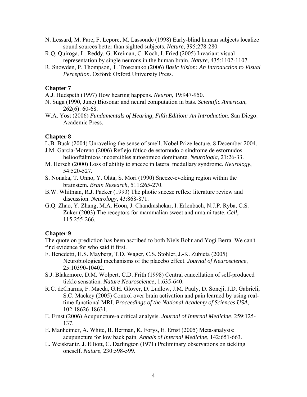- N. Lessard, M. Pare, F. Lepore, M. Lassonde (1998) Early-blind human subjects localize sound sources better than sighted subjects. *Nature*, 395:278-280.
- R.Q. Quiroga, L. Reddy, G. Kreiman, C. Koch, I. Fried (2005) Invariant visual representation by single neurons in the human brain. *Nature*, 435:1102-1107.
- R. Snowden, P. Thompson, T. Troscianko (2006) *Basic Vision: An Introduction to Visual Perception*. Oxford: Oxford University Press.

- A.J. Hudspeth (1997) How hearing happens. *Neuron*, 19:947-950.
- N. Suga (1990, June) Biosonar and neural computation in bats. *Scientific American*, 262(6): 60-68.
- W.A. Yost (2006) *Fundamentals of Hearing, Fifth Edition: An Introduction*. San Diego: Academic Press.

## **Chapter 8**

- L.B. Buck (2004) Unraveling the sense of smell. Nobel Prize lecture, 8 December 2004.
- J.M. Garcia-Moreno (2006) Reflejo fótico de estornudo o síndrome de estornudos heliooftálmicos incoercibles autosómico dominante. *Neurología*, 21:26-33.
- M. Hersch (2000) Loss of ability to sneeze in lateral medullary syndrome. *Neurology*, 54:520-527.
- S. Nonaka, T. Unno, Y. Ohta, S. Mori (1990) Sneeze-evoking region within the brainstem. *Brain Research*, 511:265-270.
- B.W. Whitman, R.J. Packer (1993) The photic sneeze reflex: literature review and discussion. *Neurology*, 43:868-871.
- G.Q. Zhao, Y. Zhang, M.A. Hoon, J. Chandrashekar, I. Erlenbach, N.J.P. Ryba, C.S. Zuker (2003) The receptors for mammalian sweet and umami taste. *Cell*, 115:255-266.

## **Chapter 9**

The quote on prediction has been ascribed to both Niels Bohr and Yogi Berra. We can't find evidence for who said it first.

- F. Benedetti, H.S. Mayberg, T.D. Wager, C.S. Stohler, J.-K. Zubieta (2005) Neurobiological mechanisms of the placebo effect. *Journal of Neuroscience*, 25:10390-10402.
- S.J. Blakemore, D.M. Wolpert, C.D. Frith (1998) Central cancellation of self-produced tickle sensation. *Nature Neuroscience*, 1:635-640.
- R.C. deCharms, F. Maeda, G.H. Glover, D. Ludlow, J.M. Pauly, D. Soneji, J.D. Gabrieli, S.C. Mackey (2005) Control over brain activation and pain learned by using realtime functional MRI. *Proceedings of the National Academy of Sciences USA*, 102:18626-18631.
- E. Ernst (2006) Acupuncture-a critical analysis. *Journal of Internal Medicine*, 259:125- 137.
- E. Manheimer, A. White, B. Berman, K. Forys, E. Ernst (2005) Meta-analysis: acupuncture for low back pain. *Annals of Internal Medicine*, 142:651-663.
- L. Weiskrantz, J. Elliott, C. Darlington (1971) Preliminary observations on tickling oneself. *Nature*, 230:598-599.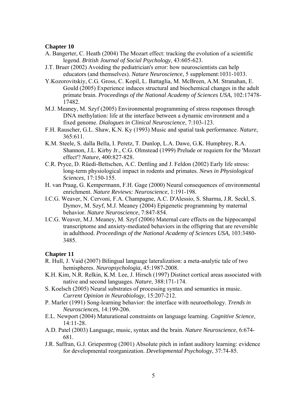- A. Bangerter, C. Heath (2004) The Mozart effect: tracking the evolution of a scientific legend. *British Journal of Social Psychology*, 43:605-623.
- J.T. Bruer (2002) Avoiding the pediatrician's error: how neuroscientists can help educators (and themselves). *Nature Neuroscience*, 5 supplement:1031-1033.
- Y.Kozorovitskiy, C.G. Gross, C. Kopil, L. Battaglia, M. McBreen, A.M. Stranahan, E. Gould (2005) Experience induces structural and biochemical changes in the adult primate brain. *Proceedings of the National Academy of Sciences USA*, 102:17478- 17482.
- M.J. Meaney, M. Szyf (2005) Environmental programming of stress responses through DNA methylation: life at the interface between a dynamic environment and a fixed genome. *Dialogues in Clinical Neuroscience*, 7:103-123.
- F.H. Rauscher, G.L. Shaw, K.N. Ky (1993) Music and spatial task performance. *Nature*, 365:611.
- K.M. Steele, S. dalla Bella, I. Peretz, T. Dunlop, L.A. Dawe, G.K. Humphrey, R.A. Shannon, J.L. Kirby Jr., C.G. Olmstead (1999) Prelude or requiem for the 'Mozart effect'? *Nature*, 400:827-828.
- C.R. Pryce, D. Rüedi-Bettschen, A.C. Dettling and J. Feldon (2002) Early life stress: long-term physiological impact in rodents and primates. *News in Physiological Sciences*, 17:150-155.
- H. van Praag, G. Kempermann, F.H. Gage (2000) Neural consequences of environmental enrichment. *Nature Reviews: Neuroscience*, 1:191-198.
- I.C.G. Weaver, N. Cervoni, F.A. Champagne, A.C. D'Alessio, S. Sharma, J.R. Seckl, S. Dymov, M. Szyf, M.J. Meaney (2004) Epigenetic programming by maternal behavior. *Nature Neuroscience*, 7:847-854.
- I.C.G. Weaver, M.J. Meaney, M. Szyf (2006) Maternal care effects on the hippocampal transcriptome and anxiety-mediated behaviors in the offspring that are reversible in adulthood. *Proceedings of the National Academy of Sciences USA*, 103:3480- 3485.

- R. Hull, J. Vaid (2007) Bilingual language lateralization: a meta-analytic tale of two hemispheres. *Neuropsychologia*, 45:1987-2008.
- K.H. Kim, N.R. Relkin, K.M. Lee, J. Hirsch (1997) Distinct cortical areas associated with native and second languages. *Nature*, 388:171-174.
- S. Koelsch (2005) Neural substrates of processing syntax and semantics in music. *Current Opinion in Neurobiology*, 15:207-212.
- P. Marler (1991) Song-learning behavior: the interface with neuroethology. *Trends in Neurosciences*, 14:199-206.
- E.L. Newport (2004) Maturational constraints on language learning. *Cognitive Science*, 14:11-28.
- A.D. Patel (2003) Language, music, syntax and the brain. *Nature Neuroscience*, 6:674- 681.
- J.R. Saffran, G.J. Griepentrog (2001) Absolute pitch in infant auditory learning: evidence for developmental reorganization. *Developmental Psychology*, 37:74-85.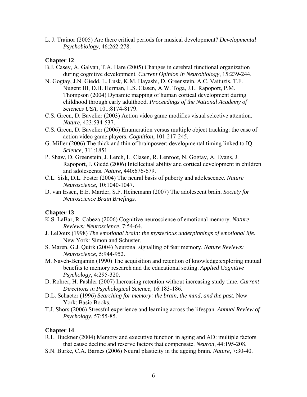L. J. Trainor (2005) Are there critical periods for musical development? *Developmental Psychobiology*, 46:262-278.

# **Chapter 12**

- B.J. Casey, A. Galvan, T.A. Hare (2005) Changes in cerebral functional organization during cognitive development. *Current Opinion in Neurobiology*, 15:239-244.
- N. Gogtay, J.N. Giedd, L. Lusk, K.M. Hayashi, D. Greenstein, A.C. Vaituzis, T.F. Nugent III, D.H. Herman, L.S. Clasen, A.W. Toga, J.L. Rapoport, P.M. Thompson (2004) Dynamic mapping of human cortical development during childhood through early adulthood. *Proceedings of the National Academy of Sciences USA*, 101:8174-8179.
- C.S. Green, D. Bavelier (2003) Action video game modifies visual selective attention. *Nature*, 423:534-537.
- C.S. Green, D. Bavelier (2006) Enumeration versus multiple object tracking: the case of action video game players. *Cognition*, 101:217-245.
- G. Miller (2006) The thick and thin of brainpower: developmental timing linked to IQ. *Science*, 311:1851.
- P. Shaw, D. Greenstein, J. Lerch, L. Clasen, R. Lenroot, N. Gogtay, A. Evans, J. Rapoport, J. Giedd (2006) Intellectual ability and cortical development in children and adolescents. *Nature*, 440:676-679.
- C.L. Sisk, D.L. Foster (2004) The neural basis of puberty and adolescence. *Nature Neuroscience*, 10:1040-1047.
- D. van Essen, E.E. Marder, S.F. Heinemann (2007) The adolescent brain. *Society for Neuroscience Brain Briefings.*

# **Chapter 13**

- K.S. LaBar, R. Cabeza (2006) Cognitive neuroscience of emotional memory. *Nature Reviews: Neuroscience*, 7:54-64.
- J. LeDoux (1998) *The emotional brain: the mysterious underpinnings of emotional life.* New York: Simon and Schuster.
- S. Maren, G.J. Quirk (2004) Neuronal signalling of fear memory. *Nature Reviews: Neuroscience*, 5:944-952.
- M. Naveh-Benjamin (1990) The acquisition and retention of knowledge:exploring mutual benefits to memory research and the educational setting. *Applied Cognitive Psychology*, 4:295-320.
- D. Rohrer, H. Pashler (2007) Increasing retention without increasing study time. *Current Directions in Psychological Science*, 16:183-186.
- D.L. Schacter (1996) *Searching for memory: the brain, the mind, and the past.* New York: Basic Books.
- T.J. Shors (2006) Stressful experience and learning across the lifespan. *Annual Review of Psychology*, 57:55-85.

- R.L. Buckner (2004) Memory and executive function in aging and AD: multiple factors that cause decline and reserve factors that compensate. *Neuron*, 44:195-208.
- S.N. Burke, C.A. Barnes (2006) Neural plasticity in the ageing brain. *Nature*, 7:30-40.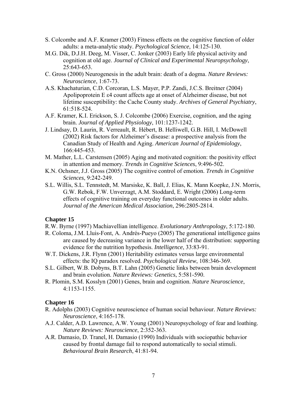- S. Colcombe and A.F. Kramer (2003) Fitness effects on the cognitive function of older adults: a meta-analytic study. *Psychological Science*, 14:125-130.
- M.G. Dik, D.J.H. Deeg, M. Visser, C. Jonker (2003) Early life physical activity and cognition at old age. *Journal of Clinical and Experimental Neuropsychology*, 25:643-653.
- C. Gross (2000) Neurogenesis in the adult brain: death of a dogma. *Nature Reviews: Neuroscience*, 1:67-73.
- A.S. Khachaturian, C.D. Corcoran, L.S. Mayer, P.P. Zandi, J.C.S. Breitner (2004) Apolipoprotein E ε4 count affects age at onset of Alzheimer disease, but not lifetime susceptibility: the Cache County study. *Archives of General Psychiatry*, 61:518-524.
- A.F. Kramer, K.I. Erickson, S. J. Colcombe (2006) Exercise, cognition, and the aging brain. *Journal of Applied Physiology*, 101:1237-1242.
- J. Lindsay, D. Laurin, R. Verreault, R. Hébert, B. Helliwell, G.B. Hill, I. McDowell (2002) Risk factors for Alzheimer's disease: a prospective analysis from the Canadian Study of Health and Aging. *American Journal of Epidemiology*, 166:445-453.
- M. Mather, L.L. Carstensen (2005) Aging and motivated cognition: the positivity effect in attention and memory. *Trends in Cognitive Sciences*, 9:496-502.
- K.N. Ochsner, J.J. Gross (2005) The cognitive control of emotion. *Trends in Cognitive Sciences*, 9:242-249.
- S.L. Willis, S.L. Tennstedt, M. Marsiske, K. Ball, J. Elias, K. Mann Koepke, J.N. Morris, G.W. Rebok, F.W. Unverzagt, A.M. Stoddard, E. Wright (2006) Long-term effects of cognitive training on everyday functional outcomes in older adults. *Journal of the American Medical Association*, 296:2805-2814.

- R.W. Byrne (1997) Machiavellian intelligence. *Evolutionary Anthropology*, 5:172-180.
- R. Coloma, J.M. Lluis-Font, A. Andrés-Pueyo (2005) The generational intelligence gains are caused by decreasing variance in the lower half of the distribution: supporting evidence for the nutrition hypothesis. *Intelligence*, 33:83-91.
- W.T. Dickens, J.R. Flynn (2001) Heritability estimates versus large environmental effects: the IQ paradox resolved. *Psychological Review*, 108:346-369.
- S.L. Gilbert, W.B. Dobyns, B.T. Lahn (2005) Genetic links between brain development and brain evolution. *Nature Reviews: Genetics*, 5:581-590.
- R. Plomin, S.M. Kosslyn (2001) Genes, brain and cognition. *Nature Neuroscience*, 4:1153-1155.

- R. Adolphs (2003) Cognitive neuroscience of human social behaviour. *Nature Reviews: Neuroscience*, 4:165-178.
- A.J. Calder, A.D. Lawrence, A.W. Young (2001) Neuropsychology of fear and loathing. *Nature Reviews: Neuroscience*, 2:352-363.
- A.R. Damasio, D. Tranel, H. Damasio (1990) Individuals with sociopathic behavior caused by frontal damage fail to respond automatically to social stimuli. *Behavioural Brain Research*, 41:81-94.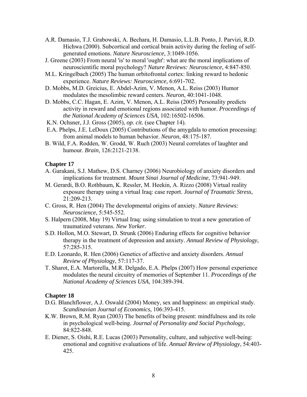- A.R. Damasio, T.J. Grabowski, A. Bechara, H. Damasio, L.L.B. Ponto, J. Parvizi, R.D. Hichwa (2000). Subcortical and cortical brain activity during the feeling of selfgenerated emotions. *Nature Neuroscience*, 3:1049-1056.
- J. Greene (2003) From neural 'is' to moral 'ought': what are the moral implications of neuroscientific moral psychology? *Nature Reviews: Neuroscience*, 4:847-850.
- M.L. Kringelbach (2005) The human orbitofrontal cortex: linking reward to hedonic experience. *Nature Reviews: Neuroscience*, 6:691-702.
- D. Mobbs, M.D. Greicius, E. Abdel-Azim, V. Menon, A.L. Reiss (2003) Humor modulates the mesolimbic reward centers. *Neuron*, 40:1041-1048.
- D. Mobbs, C.C. Hagan, E. Azim, V. Menon, A.L. Reiss (2005) Personality predicts activity in reward and emotional regions associated with humor. *Proceedings of the National Academy of Sciences USA*, 102:16502-16506.
- K.N. Ochsner, J.J. Gross (2005), *op. cit.* (see Chapter 14).
- E.A. Phelps, J.E. LeDoux (2005) Contributions of the amygdala to emotion processing: from animal models to human behavior. *Neuron*, 48:175-187.
- B. Wild, F.A. Rodden, W. Grodd, W. Ruch (2003) Neural correlates of laughter and humour. *Brain*, 126:2121-2138.

- A. Garakani, S.J. Mathew, D.S. Charney (2006) Neurobiology of anxiety disorders and implications for treatment. *Mount Sinai Journal of Medicine*, 73:941-949.
- M. Gerardi, B.O. Rothbaum, K. Ressler, M. Heekin, A. Rizzo (2008) Virtual reality exposure therapy using a virtual Iraq: case report. *Journal of Traumatic Stress*, 21:209-213.
- C. Gross, R. Hen (2004) The developmental origins of anxiety. *Nature Reviews: Neuroscience*, 5:545-552.
- S. Halpern (2008, May 19) Virtual Iraq: using simulation to treat a new generation of traumatized veterans. *New Yorker*.
- S.D. Hollon, M.O. Stewart, D. Strunk (2006) Enduring effects for cognitive behavior therapy in the treatment of depression and anxiety. *Annual Review of Physiology*, 57:285-315.
- E.D. Leonardo, R. Hen (2006) Genetics of affective and anxiety disorders. *Annual Review of Physiology*, 57:117-37.
- T. Sharot, E.A. Martorella, M.R. Delgado, E.A. Phelps (2007) How personal experience modulates the neural circuitry of memories of September 11. *Proceedings of the National Academy of Sciences USA*, 104:389-394.

- D.G. Blanchflower, A.J. Oswald (2004) Money, sex and happiness: an empirical study. *Scandinavian Journal of Economics*, 106:393-415.
- K.W. Brown, R.M. Ryan (2003) The benefits of being present: mindfulness and its role in psychological well-being. *Journal of Personality and Social Psychology*, 84:822-848.
- E. Diener, S. Oishi, R.E. Lucas (2003) Personality, culture, and subjective well-being: emotional and cognitive evaluations of life. *Annual Review of Physiology*, 54:403- 425.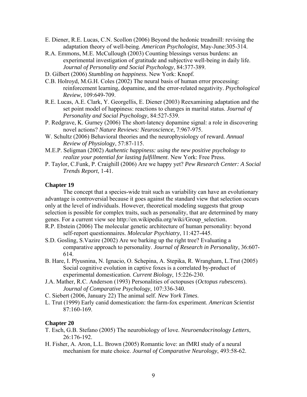- E. Diener, R.E. Lucas, C.N. Scollon (2006) Beyond the hedonic treadmill: revising the adaptation theory of well-being. *American Psychologist*, May-June:305-314.
- R.A. Emmons, M.E. McCullough (2003) Counting blessings versus burdens: an experimental investigation of gratitude and subjective well-being in daily life. *Journal of Personality and Social Psychology*, 84:377-389.
- D. Gilbert (2006) *Stumbling on happiness*. New York: Knopf.
- C.B. Holroyd, M.G.H. Coles (2002) The neural basis of human error processing: reinforcement learning, dopamine, and the error-related negativity. *Psychological Review*, 109:649-709.
- R.E. Lucas, A.E. Clark, Y. Georgellis, E. Diener (2003) Reexamining adaptation and the set point model of happiness: reactions to changes in marital status. *Journal of Personality and Social Psychology*, 84:527-539.
- P. Redgrave, K. Gurney (2006) The short-latency dopamine signal: a role in discovering novel actions? *Nature Reviews: Neuroscience*, 7:967-975.
- W. Schultz (2006) Behavioral theories and the neurophysiology of reward. *Annual Review of Physiology*, 57:87-115.
- M.E.P. Seligman (2002) *Authentic happiness: using the new positive psychology to realize your potential for lasting fulfillment*. New York: Free Press.
- P. Taylor, C.Funk, P. Craighill (2006) Are we happy yet? *Pew Research Center: A Social Trends Report*, 1-41.

 The concept that a species-wide trait such as variability can have an evolutionary advantage is controversial because it goes against the standard view that selection occurs only at the level of individuals. However, theoretical modeling suggests that group selection is possible for complex traits, such as personality, that are determined by many genes. For a current view see http://en.wikipedia.org/wiki/Group\_selection.

- R.P. Ebstein (2006) The molecular genetic architecture of human personality: beyond self-report questionnaires. *Molecular Psychiatry*, 11:427-445.
- S.D. Gosling, S.Vazire (2002) Are we barking up the right tree? Evaluating a comparative approach to personality. *Journal of Research in Personality*, 36:607- 614.
- B. Hare, I. Plyusnina, N. Ignacio, O. Schepina, A. Stepika, R. Wrangham, L.Trut (2005) Social cognitive evolution in captive foxes is a correlated by-product of experimental domestication. *Current Biology*, 15:226-230.
- J.A. Mather, R.C. Anderson (1993) Personalities of octopuses (*Octopus rubescens*). *Journal of Comparative Psychology*, 107:336-340.
- C. Siebert (2006, January 22) The animal self. *New York Times*.
- L. Trut (1999) Early canid domestication: the farm-fox experiment. *American Scientist* 87:160-169.

- T. Esch, G.B. Stefano (2005) The neurobiology of love. *Neuroendocrinology Letters*, 26:176-192.
- H. Fisher, A. Aron, L.L. Brown (2005) Romantic love: an fMRI study of a neural mechanism for mate choice. *Journal of Comparative Neurology*, 493:58-62.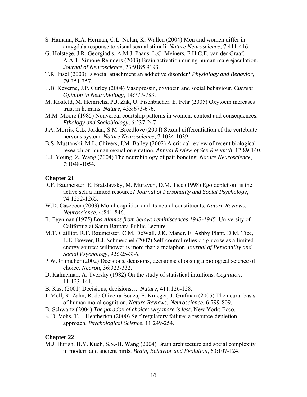- S. Hamann, R.A. Herman, C.L. Nolan, K. Wallen (2004) Men and women differ in amygdala response to visual sexual stimuli. *Nature Neuroscience*, 7:411-416.
- G. Holstege, J.R. Georgiadis, A.M.J. Paans, L.C. Meiners, F.H.C.E. van der Graaf, A.A.T. Simone Reinders (2003) Brain activation during human male ejaculation. *Journal of Neuroscience*, 23:9185.9193.
- T.R. Insel (2003) Is social attachment an addictive disorder? *Physiology and Behavior*, 79:351-357.
- E.B. Keverne, J.P. Curley (2004) Vasopressin, oxytocin and social behaviour. *Current Opinion in Neurobiology*, 14:777-783.
- M. Kosfeld, M. Heinrichs, P.J. Zak, U. Fischbacher, E. Fehr (2005) Oxytocin increases trust in humans. *Nature*, 435:673-676.
- M.M. Moore (1985) Nonverbal courtship patterns in women: context and consequences. *Ethology and Sociobiology*, 6:237-247
- J.A. Morris, C.L. Jordan, S.M. Breedlove (2004) Sexual differentiation of the vertebrate nervous system. *Nature Neuroscience*, 7:1034-1039.
- B.S. Mustanski, M.L. Chivers, J.M. Bailey (2002) A critical review of recent biological research on human sexual orientation. *Annual Review of Sex Research*, 12:89-140.
- L.J. Young, Z. Wang (2004) The neurobiology of pair bonding. *Nature Neuroscience*, 7:1048-1054.

- R.F. Baumeister, E. Bratslavsky, M. Muraven, D.M. Tice (1998) Ego depletion: is the active self a limited resource? *Journal of Personality and Social Psychology*, 74:1252-1265.
- W.D. Casebeer (2003) Moral cognition and its neural constituents. *Nature Reviews: Neuroscience*, 4:841-846.
- R. Feynman (1975) *Los Alamos from below: reminiscences 1943-1945.* University of California at Santa Barbara Public Lecture..
- M.T. Gailliot, R.F. Baumeister, C.M. DeWall, J.K. Maner, E. Ashby Plant, D.M. Tice, L.E. Brewer, B.J. Schmeichel (2007) Self-control relies on glucose as a limited energy source: willpower is more than a metaphor. *Journal of Personality and Social Psychology*, 92:325-336.
- P.W. Glimcher (2002) Decisions, decisions, decisions: choosing a biological science of choice. *Neuron*, 36:323-332.
- D. Kahneman, A. Tversky (1982) On the study of statistical intuitions. *Cognition*, 11:123-141.
- B. Kast (2001) Decisions, decisions…. *Nature*, 411:126-128.
- J. Moll, R. Zahn, R. de Oliveira-Souza, F. Krueger, J. Grafman (2005) The neural basis of human moral cognition. *Nature Reviews: Neuroscience*, 6:799-809.
- B. Schwartz (2004) *The paradox of choice: why more is less*. New York: Ecco.
- K.D. Vohs, T.F. Heatherton (2000) Self-regulatory failure: a resource-depletion approach. *Psychological Science*, 11:249-254.

# **Chapter 22**

M.J. Burish, H.Y. Kueh, S.S.-H. Wang (2004) Brain architecture and social complexity in modern and ancient birds. *Brain, Behavior and Evolution*, 63:107-124.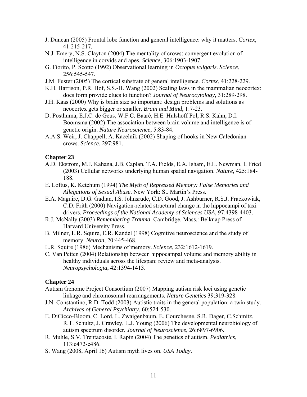- J. Duncan (2005) Frontal lobe function and general intelligence: why it matters. *Cortex*, 41:215-217.
- N.J. Emery, N.S. Clayton (2004) The mentality of crows: convergent evolution of intelligence in corvids and apes. *Science*, 306:1903-1907.
- G. Fiorito, P. Scotto (1992) Observational learning in *Octopus vulgaris*. *Science*, 256:545-547.
- J.M. Fuster (2005) The cortical substrate of general intelligence. *Cortex*, 41:228-229.
- K.H. Harrison, P.R. Hof, S.S.-H. Wang (2002) Scaling laws in the mammalian neocortex: does form provide clues to function? *Journal of Neurocytology*, 31:289-298.
- J.H. Kaas (2000) Why is brain size so important: design problems and solutions as neocortex gets bigger or smaller. *Brain and Mind*, 1:7-23.
- D. Posthuma, E.J.C. de Geus, W.F.C. Baaré, H.E. Hulshoff Pol, R.S. Kahn, D.I. Boomsma (2002) The association between brain volume and intelligence is of genetic origin. *Nature Neuroscience*, 5:83-84.
- A.A.S. Weir, J. Chappell, A. Kacelnik (2002) Shaping of hooks in New Caledonian crows. *Science*, 297:981.

- A.D. Ekstrom, M.J. Kahana, J.B. Caplan, T.A. Fields, E.A. Isham, E.L. Newman, I. Fried (2003) Cellular networks underlying human spatial navigation. *Nature*, 425:184- 188.
- E. Loftus, K. Ketchum (1994) *The Myth of Repressed Memory: False Memories and Allegations of Sexual Abuse*. New York: St. Martin's Press.
- E.A. Maguire, D.G. Gadian, I.S. Johnsrude, C.D. Good, J. Ashburner, R.S.J. Frackowiak, C.D. Frith (2000) Navigation-related structural change in the hippocampi of taxi drivers. *Proceedings of the National Academy of Sciences USA*, 97:4398-4403.
- R.J. McNally (2003) *Remembering Trauma*. Cambridge, Mass.: Belknap Press of Harvard University Press.
- B. Milner, L.R. Squire, E.R. Kandel (1998) Cognitive neuroscience and the study of memory. *Neuron*, 20:445-468.
- L.R. Squire (1986) Mechanisms of memory. *Science*, 232:1612-1619.
- C. Van Petten (2004) Relationship between hippocampal volume and memory ability in healthy individuals across the lifespan: review and meta-analysis. *Neuropsychologia*, 42:1394-1413.

- Autism Genome Project Consortium (2007) Mapping autism risk loci using genetic linkage and chromosomal rearrangements. *Nature Genetics* 39:319-328.
- J.N. Constantino, R.D. Todd (2003) Autistic traits in the general population: a twin study. *Archives of General Psychiatry*, 60:524-530.
- E. DiCicco-Bloom, C. Lord, L. Zwaigenbaum, E. Courchesne, S.R. Dager, C.Schmitz, R.T. Schultz, J. Crawley, L.J. Young (2006) The developmental neurobiology of autism spectrum disorder. *Journal of Neuroscience*, 26:6897-6906.
- R. Muhle, S.V. Trentacoste, I. Rapin (2004) The genetics of autism. *Pediatrics*, 113:e472-e486.
- S. Wang (2008, April 16) Autism myth lives on. *USA Today*.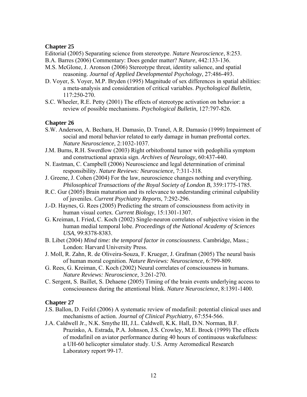Editorial (2005) Separating science from stereotype. *Nature Neuroscience*, 8:253.

- B.A. Barres (2006) Commentary: Does gender matter? *Nature*, 442:133-136.
- M.S. McGlone, J. Aronson (2006) Stereotype threat, identity salience, and spatial reasoning. *Journal of Applied Developmental Psychology*, 27:486-493.
- D. Voyer, S. Voyer, M.P. Bryden (1995) Magnitude of sex differences in spatial abilities: a meta-analysis and consideration of critical variables. *Psychological Bulletin*, 117:250-270.
- S.C. Wheeler, R.E. Petty (2001) The effects of stereotype activation on behavior: a review of possible mechanisms. *Psychological Bulletin*, 127:797-826.

# **Chapter 26**

- S.W. Anderson, A. Bechara, H. Damasio, D. Tranel, A.R. Damasio (1999) Impairment of social and moral behavior related to early damage in human prefrontal cortex. *Nature Neuroscience*, 2:1032-1037.
- J.M. Burns, R.H. Swerdlow (2003) Right orbitofrontal tumor with pedophilia symptom and constructional apraxia sign. *Archives of Neurology*, 60:437-440.
- N. Eastman, C. Campbell (2006) Neuroscience and legal determination of criminal responsibility. *Nature Reviews: Neuroscience*, 7:311-318.
- J. Greene, J. Cohen (2004) For the law, neuroscience changes nothing and everything. *Philosophical Transactions of the Royal Society of London B*, 359:1775-1785.
- R.C. Gur (2005) Brain maturation and its relevance to understanding criminal culpability of juveniles. *Current Psychiatry Reports*, 7:292-296.
- J.-D. Haynes, G. Rees (2005) Predicting the stream of consciousness from activity in human visual cortex. *Current Biology*, 15:1301-1307.
- G. Kreiman, I. Fried, C. Koch (2002) Single-neuron correlates of subjective vision in the human medial temporal lobe. *Proceedings of the National Academy of Sciences USA*, 99:8378-8383.
- B. Libet (2004) *Mind time: the temporal factor in consciousness*. Cambridge, Mass.; London: Harvard University Press.
- J. Moll, R. Zahn, R. de Oliveira-Souza, F. Krueger, J. Grafman (2005) The neural basis of human moral cognition. *Nature Reviews: Neuroscience*, 6:799-809.
- G. Rees, G. Kreiman, C. Koch (2002) Neural correlates of consciousness in humans. *Nature Reviews: Neuroscience*, 3:261-270.
- C. Sergent, S. Baillet, S. Dehaene (2005) Timing of the brain events underlying access to consciousness during the attentional blink. *Nature Neuroscience*, 8:1391-1400.

- J.S. Ballon, D. Feifel (2006) A systematic review of modafinil: potential clinical uses and mechanisms of action. *Journal of Clinical Psychiatry*, 67:554-566.
- J.A. Caldwell Jr., N.K. Smythe III, J.L. Caldwell, K.K. Hall, D.N. Norman, B.F. Prazinko, A. Estrada, P.A. Johnson, J.S. Crowley, M.E. Brock (1999) The effects of modafinil on aviator performance during 40 hours of continuous wakefulness: a UH-60 helicopter simulator study. U.S. Army Aeromedical Research Laboratory report 99-17.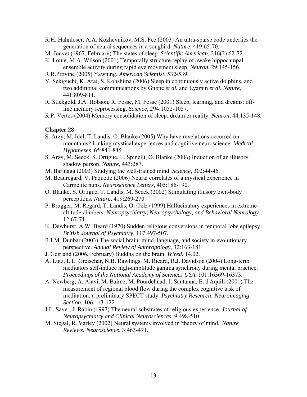- R.H. Hahnloser, A.A. Kozhevnikov, M.S. Fee (2003) An ultra-sparse code underlies the generation of neural sequences in a songbird. *Nature*, 419:65-70.
- M. Jouvet (1967, February) The states of sleep. *Scientific American*, 216(2):62-72.
- K. Louie, M.A. Wilson (2001) Temporally structure replay of awake hippocampal ensemble activity during rapid eye movement sleep. *Neuron*, 29:145-156.
- R.R.Provine (2005) Yawning. *American Scientist*, 532-539.
- Y. Sekiguchi, K. Arai, S. Kohshima (2006) Sleep in continuously active dolphins, and two additional communications by Gnone *et al.* and Lyamin *et al. Nature*, 441:809-811.
- R. Stickgold, J.A. Hobson, R. Fosse, M. Fosse (2001) Sleep, learning, and dreams: offline memory reprocessing. *Science*, 294:1052-1057.
- R.P. Vertes (2004) Memory consolidation of sleep: dream or reality. *Neuron*, 44:135-148.

- S. Arzy, M. Idel, T. Landis, O. Blanke (2005) Why have revelations occurred on mountains? Linking mystical experiences and cognitive neuroscience. *Medical Hypotheses*, 65:841-845.
- S. Arzy, M. Seeck, S. Ortigue, L. Spinelli, O. Blanke (2006) Induction of an illusory shadow person. *Nature*, 443:287.
- M. Barinaga (2003) Studying the well-trained mind. *Science*, 302:44-46.
- M. Beauregard, V. Paquette (2006) Neural correlates of a mystical experience in Carmelite nuns. *Neuroscience Letters*, 405:186-190.
- O. Blanke, S. Ortigue, T. Landis, M. Seeck (2002) Stimulating illusory own-body perceptions. *Nature*, 419:269-270.
- P. Brugger, M. Regard, T. Landis, O. Oelz (1999) Hallucinatory experiences in extremealtitude climbers. *Neuropsychiatry, Neuropsychology, and Behavioral Neurology*, 12:67-71.
- K. Dewhurst, A.W. Beard (1970) Sudden religious conversions in temporal lobe epilepsy. *British Journal of Psychiatry*, 117:497-507.
- R.I.M. Dunbar (2003) The social brain: mind, language, and society in evolutionary perspective. *Annual Review of Anthropology*, 32:163-181.
- J. Geirland (2006, February) Buddha on the brain. *Wired*, 14.02.
- A. Lutz, L.L. Greischar, N.B. Rawlings, M. Ricard, R.J. Davidson (2004) Long-term meditators self-induce high-amplitude gamma synchrony during mental practice. *Proceedings of the National Academy of Sciences USA*, 101:16369-16373.
- A. Newberg, A. Alavi, M. Baime, M. Pourdehnad, J. Santanna, E. d'Aquili (2001) The measurement of regional blood flow during the complex cognitive task of meditation: a preliminary SPECT study. *Psychiatry Research: Neuroimaging Section*, 106:113-122.
- J.L. Saver, J. Rabin (1997) The neural substrates of religious experience. *Journal of Neuropsychiatry and Clinical Neurosciences*, 9:498-510.
- M. Siegal, R. Varley (2002) Neural systems involved in 'theory of mind.' *Nature Reviews: Neuroscience*, 3:463-471.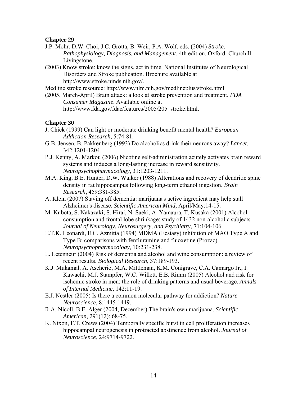- J.P. Mohr, D.W. Choi, J.C. Grotta, B. Weir, P.A. Wolf, eds. (2004) *Stroke: Pathophysiology, Diagnosis, and Management*, 4th edition. Oxford: Churchill Livingstone.
- (2003) Know stroke: know the signs, act in time. National Institutes of Neurological Disorders and Stroke publication. Brochure available at http://www.stroke.ninds.nih.gov/.

Medline stroke resource: http://www.nlm.nih.gov/medlineplus/stroke.html

(2005, March-April) Brain attack: a look at stroke prevention and treatment. *FDA Consumer Magazine*. Available online at http://www.fda.gov/fdac/features/2005/205\_stroke.html.

- J. Chick (1999) Can light or moderate drinking benefit mental health? *European Addiction Research*, 5:74-81.
- G.B. Jensen, B. Pakkenberg (1993) Do alcoholics drink their neurons away? *Lancet*, 342:1201-1204.
- P.J. Kenny, A. Markou (2006) Nicotine self-administration acutely activates brain reward systems and induces a long-lasting increase in reward sensitivity. *Neuropsychopharmacology*, 31:1203-1211.
- M.A. King, B.E. Hunter, D.W. Walker (1988) Alterations and recovery of dendritic spine density in rat hippocampus following long-term ethanol ingestion. *Brain Research*, 459:381-385.
- A. Klein (2007) Staving off dementia: marijuana's active ingredient may help stall Alzheimer's disease. *Scientific American Mind*, April/May:14-15.
- M. Kubota, S. Nakazaki, S. Hirai, N. Saeki, A. Yamaura, T. Kusaka (2001) Alcohol consumption and frontal lobe shrinkage: study of 1432 non-alcoholic subjects. *Journal of Neurology, Neurosurgery, and Psychiatry*, 71:104-106.
- E.T.K. Leonardi, E.C. Azmitia (1994) MDMA (Ecstasy) inhibition of MAO Type A and Type B: comparisons with fenfluramine and fluoxetine (Prozac). *Neuropsychopharmacology*, 10:231-238.
- L. Letenneur (2004) Risk of dementia and alcohol and wine consumption: a review of recent results. *Biological Research*, 37:189-193.
- K.J. Mukamal, A. Ascherio, M.A. Mittleman, K.M. Conigrave, C.A. Camargo Jr., I. Kawachi, M.J. Stampfer, W.C. Willett, E.B. Rimm (2005) Alcohol and risk for ischemic stroke in men: the role of drinking patterns and usual beverage. *Annals of Internal Medicine*, 142:11-19.
- E.J. Nestler (2005) Is there a common molecular pathway for addiction? *Nature Neuroscience*, 8:1445-1449.
- R.A. Nicoll, B.E. Alger (2004, December) The brain's own marijuana. *Scientific American*, 291(12): 68-75.
- K. Nixon, F.T. Crews (2004) Temporally specific burst in cell proliferation increases hippocampal neurogenesis in protracted abstinence from alcohol. *Journal of Neuroscience*, 24:9714-9722.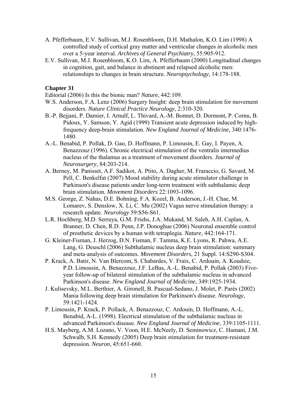- A. Pfefferbaum, E.V. Sullivan, M.J. Rosenbloom, D.H. Mathalon, K.O. Lim (1998) A controlled study of cortical gray matter and ventricular changes in alcoholic men over a 5-year interval. *Archives of General Psychiatry*, 55:905-912.
- E.V. Sullivan, M.J. Rosenbloom, K.O. Lim, A. Pfefferbaum (2000) Longitudinal changes in cognition, gait, and balance in abstinent and relapsed alcoholic men: relationships to changes in brain structure. *Neuropsychology*, 14:178-188.

Editorial (2006) Is this the bionic man? *Nature*, 442:109.

- W.S. Anderson, F.A. Lenz (2006) Surgery Insight: deep brain stimulation for movement disorders. *Nature Clinical Practice Neurology*, 2:310-320.
- B.-P. Bejjani, P. Damier, I. Arnulf, L. Thivard, A.-M. Bonnet, D. Dormont, P. Cornu, B. Pidoux, Y. Samson, Y. Agid (1999) Transient acute depression induced by highfrequency deep-brain stimulation. *New England Journal of Medicine*, 340:1476- 1480.
- A.-L. Benabid, P. Pollak, D. Gao, D. Hoffmann, P. Limousin, E. Gay, I. Payen, A. Benazzouz (1996). Chronic electrical stimulation of the ventralis intermedius nucleus of the thalamus as a treatment of movement disorders. *Journal of Neurosurgery*, 84:203-214.
- A. Berney, M. Panisset, A.F. Sadikot, A. Ptito, A. Dagher, M. Fraraccio, G. Savard, M. Pell, C. Benkelfat (2007) Mood stability during acute stimulator challenge in Parkinson's disease patients under long-term treatment with subthalamic deep brain stimulation. *Movement Disorders* 22:1093-1096.
- M.S. George, Z. Nahas, D.E. Bohning, F.A. Kozel, B. Anderson, J.-H. Chae, M. Lomarev, S. Denslow, X. Li, C. Mu (2002) Vagus nerve stimulation therapy: a research update. *Neurology* 59:S56-S61.
- L.R. Hochberg, M.D. Serruya, G.M. Friehs, J.A. Mukand, M. Saleh, A.H. Caplan, A. Branner, D. Chen, R.D. Penn, J.P. Donoghue (2006) Neuronal ensemble control of prosthetic devices by a human with tetraplegia. *Nature*, 442:164-171.
- G. Kleiner-Fisman, J. Herzog, D.N. Fisman, F. Tamma, K.E. Lyons, R. Pahwa, A.E. Lang, G. Deuschl (2006) Subthalamic nucleus deep brain stimulation: summary and meta-analysis of outcomes. *Movement Disorders*, 21 Suppl. 14:S290-S304.
- P. Krack, A. Batir, N. Van Blercom, S. Chabardes, V. Fraix, C. Ardouin, A. Koudsie, P.D. Limousin, A. Benazzouz, J.F. LeBas, A.-L. Benabid, P. Pollak (2003) Fiveyear follow-up of bilateral stimulation of the subthalamic nucleus in advanced Parkinson's disease. *New England Journal of Medicine*, 349:1925-1934.
- J. Kulisevsky, M.L. Berthier, A. Gironell, B. Pascual-Sedano, J. Molet, P. Parés (2002) Mania following deep brain stimulation for Parkinson's disease. *Neurology*, 59:1421-1424.
- P. Limousin, P. Krack, P. Pollack, A. Benazzouz, C. Ardouin, D. Hoffmann, A.-L. Benabid, A-L. (1998). Electrical stimulation of the subthalamic nucleus in advanced Parkinson's disease. *New England Journal of Medicine*, 339:1105-1111.
- H.S. Mayberg, A.M. Lozano, V. Voon, H.E. McNeely, D. Seminowicz, C. Hamani, J.M. Schwalb, S.H. Kennedy (2005) Deep brain stimulation for treatment-resistant depression. *Neuron*, 45:651-660.